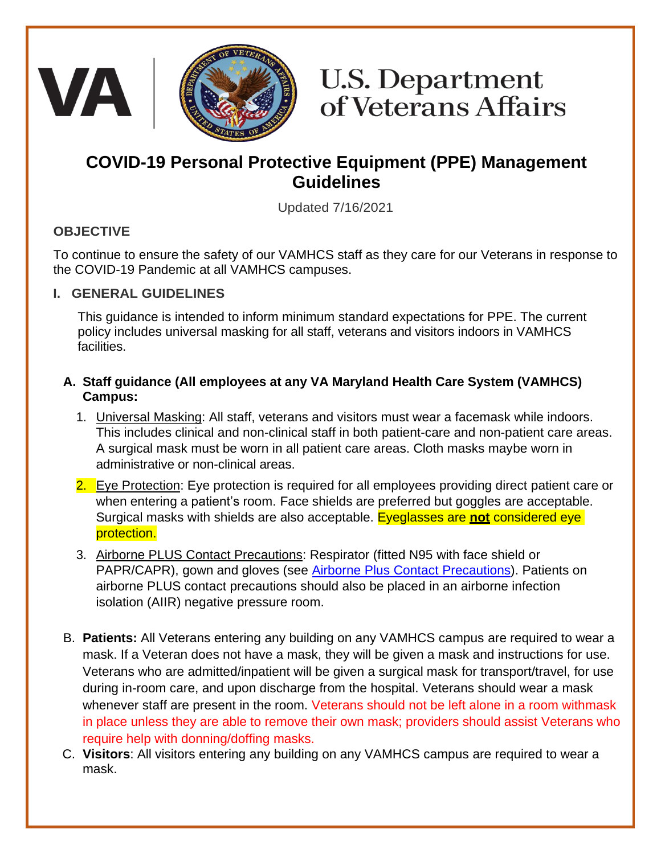

# **U.S. Department** of Veterans Affairs

## **COVID-19 Personal Protective Equipment (PPE) Management Guidelines**

Updated 7/16/2021

#### **OBJECTIVE**

To continue to ensure the safety of our VAMHCS staff as they care for our Veterans in response to the COVID-19 Pandemic at all VAMHCS campuses.

#### **I. GENERAL GUIDELINES**

This guidance is intended to inform minimum standard expectations for PPE. The current policy includes universal masking for all staff, veterans and visitors indoors in VAMHCS facilities.

#### **A. Staff guidance (All employees at any VA Maryland Health Care System (VAMHCS) Campus:**

- 1. Universal Masking: All staff, veterans and visitors must wear a facemask while indoors. This includes clinical and non-clinical staff in both patient-care and non-patient care areas. A surgical mask must be worn in all patient care areas. Cloth masks maybe worn in administrative or non-clinical areas.
- 2. Eye Protection: Eye protection is required for all employees providing direct patient care or when entering a patient's room. Face shields are preferred but goggles are acceptable. Surgical masks with shields are also acceptable. Eyeglasses are **not** considered eye protection.
- 3. Airborne PLUS Contact Precautions: Respirator (fitted N95 with face shield or PAPR/CAPR), gown and gloves (see Airborne [Plus Contact Precautions\)](https://dvagov.sharepoint.com/:p:/r/sites/VHAVAMHCS/COVID-19/Shared%20Documents/AIRBORNE%20%20VAMHCS.pptx?d=wf05a2ccc308446d695c1d9cbc7ddb05f&csf=1&web=1&e=rYGhFV). Patients on airborne PLUS contact precautions should also be placed in an airborne infection isolation (AIIR) negative pressure room.
- B. **Patients:** All Veterans entering any building on any VAMHCS campus are required to wear a mask. If a Veteran does not have a mask, they will be given a mask and instructions for use. Veterans who are admitted/inpatient will be given a surgical mask for transport/travel, for use during in-room care, and upon discharge from the hospital. Veterans should wear a mask whenever staff are present in the room. Veterans should not be left alone in a room withmask in place unless they are able to remove their own mask; providers should assist Veterans who require help with donning/doffing masks.
- C. **Visitors**: All visitors entering any building on any VAMHCS campus are required to wear a mask.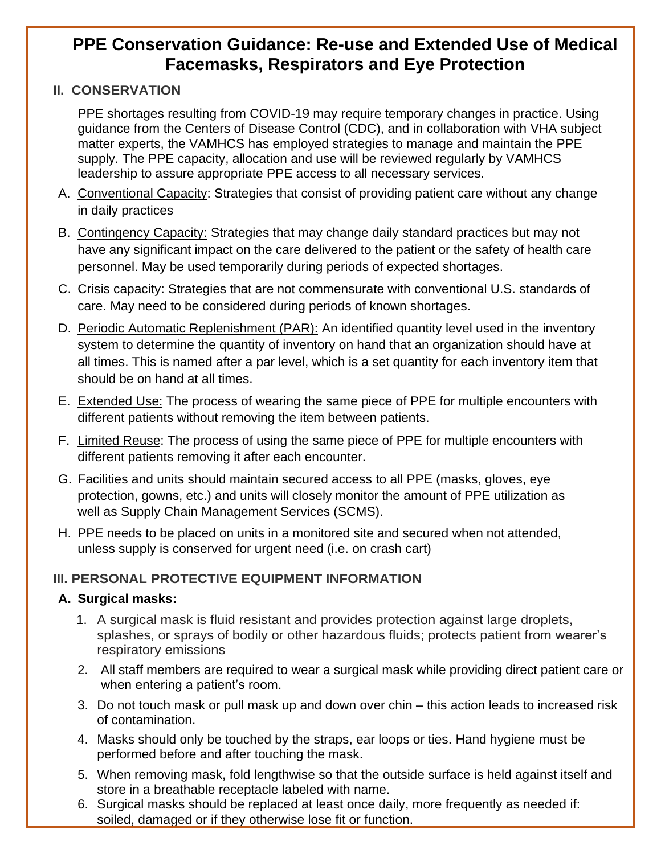### **PPE Conservation Guidance: Re-use and Extended Use of Medical Facemasks, Respirators and Eye Protection**

#### **II. CONSERVATION**

PPE shortages resulting from COVID-19 may require temporary changes in practice. Using guidance from the Centers of Disease Control (CDC), and in collaboration with VHA subject matter experts, the VAMHCS has employed strategies to manage and maintain the PPE supply. The PPE capacity, allocation and use will be reviewed regularly by VAMHCS leadership to assure appropriate PPE access to all necessary services.

- A. Conventional Capacity: Strategies that consist of providing patient care without any change in daily practices
- B. Contingency Capacity: Strategies that may change daily standard practices but may not have any significant impact on the care delivered to the patient or the safety of health care personnel. May be used temporarily during periods of expected shortages.
- C. Crisis capacity: Strategies that are not commensurate with conventional U.S. standards of care. May need to be considered during periods of known shortages.
- D. Periodic Automatic Replenishment (PAR): An identified quantity level used in the inventory system to determine the quantity of inventory on hand that an organization should have at all times. This is named after a par level, which is a set quantity for each inventory item that should be on hand at all times.
- E. Extended Use: The process of wearing the same piece of PPE for multiple encounters with different patients without removing the item between patients.
- F. Limited Reuse: The process of using the same piece of PPE for multiple encounters with different patients removing it after each encounter.
- G. Facilities and units should maintain secured access to all PPE (masks, gloves, eye protection, gowns, etc.) and units will closely monitor the amount of PPE utilization as well as Supply Chain Management Services (SCMS).
- H. PPE needs to be placed on units in a monitored site and secured when not attended, unless supply is conserved for urgent need (i.e. on crash cart)

#### **III. PERSONAL PROTECTIVE EQUIPMENT INFORMATION**

#### **A. Surgical masks:**

- 1. A surgical mask is fluid resistant and provides protection against large droplets, splashes, or sprays of bodily or other hazardous fluids; protects patient from wearer's respiratory emissions
- 2. All staff members are required to wear a surgical mask while providing direct patient care or when entering a patient's room.
- 3. Do not touch mask or pull mask up and down over chin this action leads to increased risk of contamination.
- 4. Masks should only be touched by the straps, ear loops or ties. Hand hygiene must be performed before and after touching the mask.
- 5. When removing mask, fold lengthwise so that the outside surface is held against itself and store in a breathable receptacle labeled with name.
- 6. Surgical masks should be replaced at least once daily, more frequently as needed if: soiled, damaged or if they otherwise lose fit or function.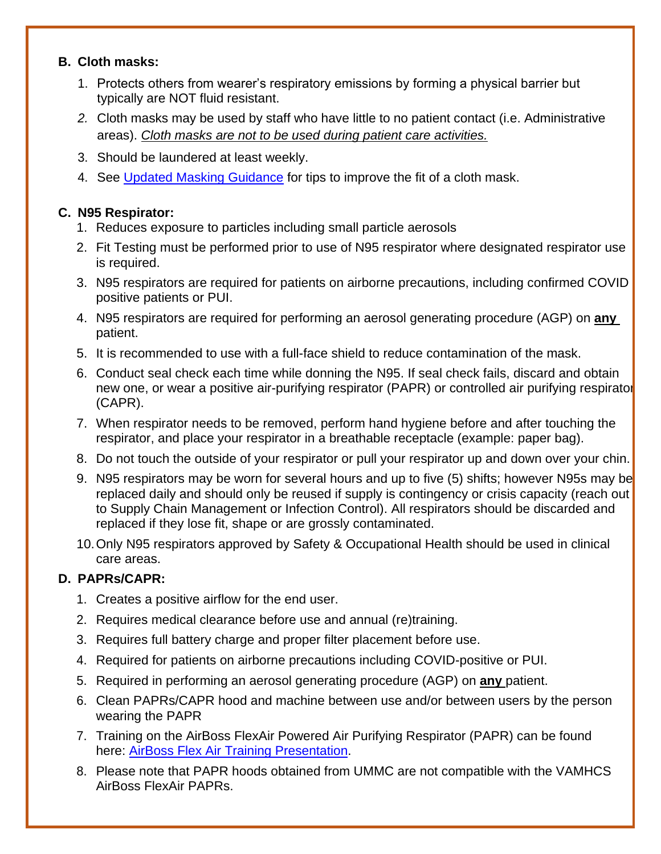#### **B. Cloth masks:**

- 1. Protects others from wearer's respiratory emissions by forming a physical barrier but typically are NOT fluid resistant.
- *2.* Cloth masks may be used by staff who have little to no patient contact (i.e. Administrative areas). *Cloth masks are not to be used during patient care activities.*
- 3. Should be laundered at least weekly.
- 4. See [Updated Masking Guidance](https://vaww.maryland.va.gov/docs/Masking.pdf) for tips to improve the fit of a cloth mask.

#### **C. N95 Respirator:**

- 1. Reduces exposure to particles including small particle aerosols
- 2. Fit Testing must be performed prior to use of N95 respirator where designated respirator use is required.
- 3. N95 respirators are required for patients on airborne precautions, including confirmed COVID positive patients or PUI.
- 4. N95 respirators are required for performing an aerosol generating procedure (AGP) on **any**  patient.
- 5. It is recommended to use with a full-face shield to reduce contamination of the mask.
- 6. Conduct seal check each time while donning the N95. If seal check fails, discard and obtain new one, or wear a positive air-purifying respirator (PAPR) or controlled air purifying respirator (CAPR).
- 7. When respirator needs to be removed, perform hand hygiene before and after touching the respirator, and place your respirator in a breathable receptacle (example: paper bag).
- 8. Do not touch the outside of your respirator or pull your respirator up and down over your chin.
- 9. N95 respirators may be worn for several hours and up to five (5) shifts; however N95s may be replaced daily and should only be reused if supply is contingency or crisis capacity (reach out to Supply Chain Management or Infection Control). All respirators should be discarded and replaced if they lose fit, shape or are grossly contaminated.
- 10.Only N95 respirators approved by Safety & Occupational Health should be used in clinical care areas.

#### **D. PAPRs/CAPR:**

- 1. Creates a positive airflow for the end user.
- 2. Requires medical clearance before use and annual (re)training.
- 3. Requires full battery charge and proper filter placement before use.
- 4. Required for patients on airborne precautions including COVID-positive or PUI.
- 5. Required in performing an aerosol generating procedure (AGP) on **any** patient.
- 6. Clean PAPRs/CAPR hood and machine between use and/or between users by the person wearing the PAPR
- 7. Training on the AirBoss FlexAir Powered Air Purifying Respirator (PAPR) can be found here: [AirBoss Flex Air Training Presentation.](https://dvagov.sharepoint.com/sites/VHAVAMHCS/COVID-19/Employee%20COVID19%20Training%20Resources/AirBoss%20FlexAir%20Training%20Presentation.pdf)
- 8. Please note that PAPR hoods obtained from UMMC are not compatible with the VAMHCS AirBoss FlexAir PAPRs.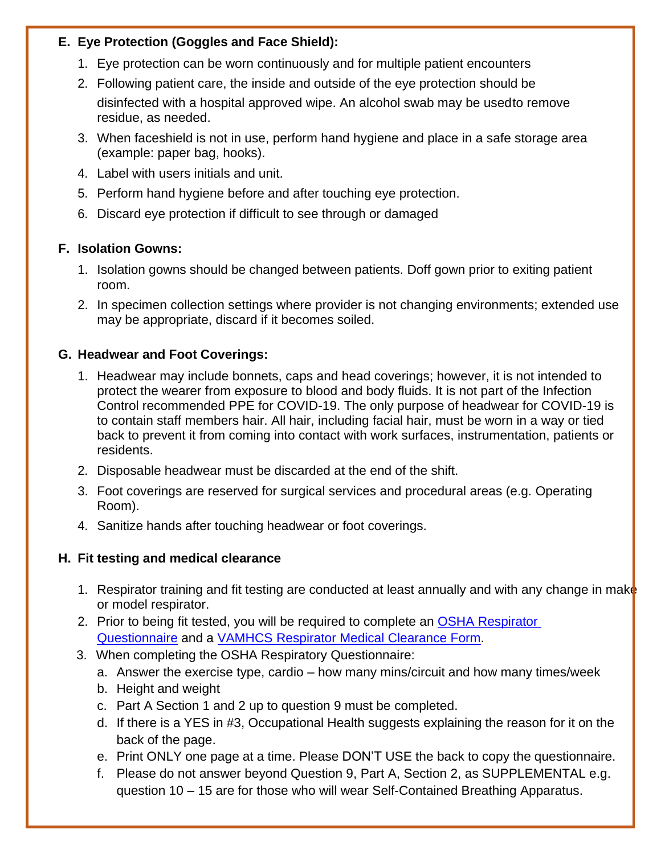#### **E. Eye Protection (Goggles and Face Shield):**

- 1. Eye protection can be worn continuously and for multiple patient encounters
- 2. Following patient care, the inside and outside of the eye protection should be disinfected with a hospital approved wipe. An alcohol swab may be used to remove residue, as needed.
- 3. When faceshield is not in use, perform hand hygiene and place in a safe storage area (example: paper bag, hooks).
- 4. Label with users initials and unit.
- 5. Perform hand hygiene before and after touching eye protection.
- 6. Discard eye protection if difficult to see through or damaged

#### **F. Isolation Gowns:**

- 1. Isolation gowns should be changed between patients. Doff gown prior to exiting patient room.
- 2. In specimen collection settings where provider is not changing environments; extended use may be appropriate, discard if it becomes soiled.

#### **G. Headwear and Foot Coverings:**

- 1. Headwear may include bonnets, caps and head coverings; however, it is not intended to protect the wearer from exposure to blood and body fluids. It is not part of the Infection Control recommended PPE for COVID-19. The only purpose of headwear for COVID-19 is to contain staff members hair. All hair, including facial hair, must be worn in a way or tied back to prevent it from coming into contact with work surfaces, instrumentation, patients or residents.
- 2. Disposable headwear must be discarded at the end of the shift.
- 3. Foot coverings are reserved for surgical services and procedural areas (e.g. Operating Room).
- 4. Sanitize hands after touching headwear or foot coverings.

#### **H. Fit testing and medical clearance**

- 1. Respirator training and fit testing are conducted at least annually and with any change in make or model respirator.
- 2. Prior to being fit tested, you will be required to complete an OSHA Respirator [Questionnaire](https://dvagov.sharepoint.com/:b:/r/sites/VHAVAMHCS/COVID-19/Shared%20Documents/OSHA_Respirator_Questionnaire.pdf?csf=1&web=1&e=LBYDjf) and a VAMHCS [Respirator Medical Clearance Form.](https://dvagov.sharepoint.com/:w:/r/sites/VHAVAMHCS/COVID-19/Shared%20Documents/Respirator%20Medical%20Clearance%20Form_2020.docx?d=w665edddd149849959b14da245a0e5ebe&csf=1&web=1&e=PJb6gJ)
- 3. When completing the OSHA Respiratory Questionnaire:
	- a. Answer the exercise type, cardio how many mins/circuit and how many times/week
	- b. Height and weight
	- c. Part A Section 1 and 2 up to question 9 must be completed.
	- d. If there is a YES in #3, Occupational Health suggests explaining the reason for it on the back of the page.
	- e. Print ONLY one page at a time. Please DON'T USE the back to copy the questionnaire.
	- f. Please do not answer beyond Question 9, Part A, Section 2, as SUPPLEMENTAL e.g. question 10 – 15 are for those who will wear Self-Contained Breathing Apparatus.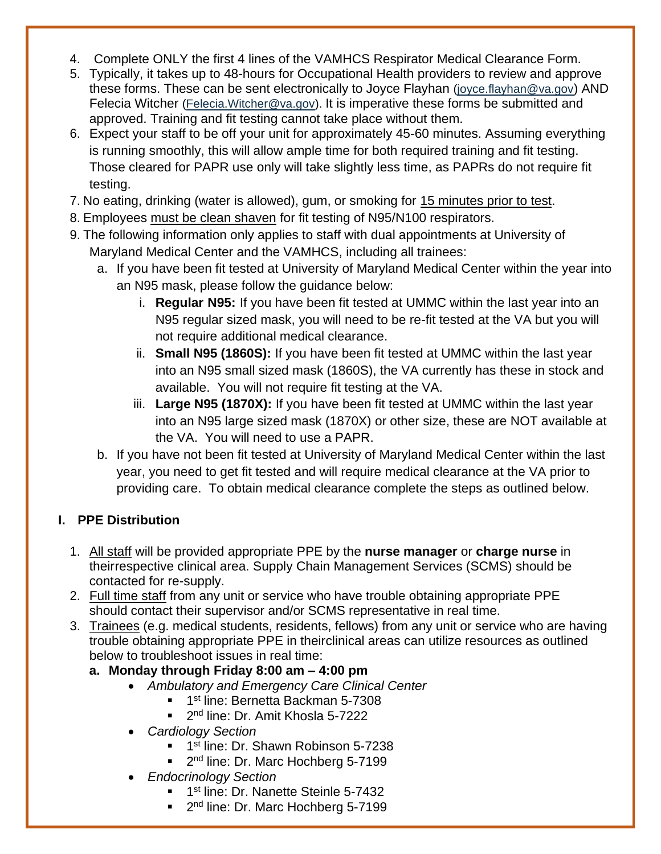- 4. Complete ONLY the first 4 lines of the VAMHCS Respirator Medical Clearance Form.
- 5. Typically, it takes up to 48-hours for Occupational Health providers to review and approve these forms. These can be sent electronically to Joyce Flayhan [\(joyce.flayhan@va.gov](mailto:joyce.flayhan@va.gov)) AND Felecia Witcher [\(Felecia.Witcher@va.gov\)](mailto:Felecia.Witcher@va.gov). It is imperative these forms be submitted and approved. Training and fit testing cannot take place without them.
- 6. Expect your staff to be off your unit for approximately 45-60 minutes. Assuming everything is running smoothly, this will allow ample time for both required training and fit testing. Those cleared for PAPR use only will take slightly less time, as PAPRs do not require fit testing.
- 7. No eating, drinking (water is allowed), gum, or smoking for 15 minutes prior to test.
- 8. Employees must be clean shaven for fit testing of N95/N100 respirators.
- 9. The following information only applies to staff with dual appointments at University of Maryland Medical Center and the VAMHCS, including all trainees:
	- a. If you have been fit tested at University of Maryland Medical Center within the year into an N95 mask, please follow the guidance below:
		- i. **Regular N95:** If you have been fit tested at UMMC within the last year into an N95 regular sized mask, you will need to be re-fit tested at the VA but you will not require additional medical clearance.
		- ii. **Small N95 (1860S):** If you have been fit tested at UMMC within the last year into an N95 small sized mask (1860S), the VA currently has these in stock and available. You will not require fit testing at the VA.
		- iii. **Large N95 (1870X):** If you have been fit tested at UMMC within the last year into an N95 large sized mask (1870X) or other size, these are NOT available at the VA. You will need to use a PAPR.
	- b. If you have not been fit tested at University of Maryland Medical Center within the last year, you need to get fit tested and will require medical clearance at the VA prior to providing care. To obtain medical clearance complete the steps as outlined below.

#### **I. PPE Distribution**

- 1. All staff will be provided appropriate PPE by the **nurse manager** or **charge nurse** in theirrespective clinical area. Supply Chain Management Services (SCMS) should be contacted for re-supply.
- 2. Full time staff from any unit or service who have trouble obtaining appropriate PPE should contact their supervisor and/or SCMS representative in real time.
- 3. Trainees (e.g. medical students, residents, fellows) from any unit or service who are having trouble obtaining appropriate PPE in theirclinical areas can utilize resources as outlined below to troubleshoot issues in real time:
	- **a. Monday through Friday 8:00 am – 4:00 pm**
		- *Ambulatory and Emergency Care Clinical Center*
			- **1st line: Bernetta Backman 5-7308**
			- 2 2<sup>nd</sup> line: Dr. Amit Khosla 5-7222
		- *Cardiology Section*
			- 1<sup>st</sup> line: Dr. Shawn Robinson 5-7238
			- 2<sup>nd</sup> line: Dr. Marc Hochberg 5-7199
		- *Endocrinology Section*
			- **1st line: Dr. Nanette Steinle 5-7432**
			- 2<sup>nd</sup> line: Dr. Marc Hochberg 5-7199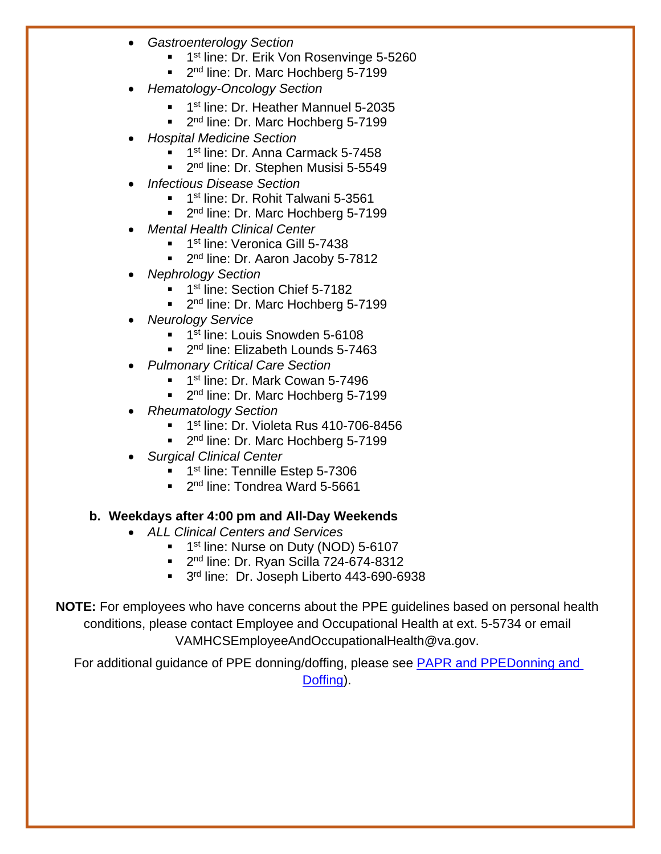- *Gastroenterology Section*
	- **1st line: Dr. Erik Von Rosenvinge 5-5260**
	- 2 2<sup>nd</sup> line: Dr. Marc Hochberg 5-7199
- *Hematology-Oncology Section*
	- **1st line: Dr. Heather Mannuel 5-2035**
	- 2  $2<sup>nd</sup>$  line: Dr. Marc Hochberg 5-7199
- *Hospital Medicine Section*
	- **1st line: Dr. Anna Carmack 5-7458**
	- 2<sup>nd</sup> line: Dr. Stephen Musisi 5-5549
- *Infectious Disease Section*
	- **1** 1<sup>st</sup> line: Dr. Rohit Talwani 5-3561
	- 2<sup>nd</sup> line: Dr. Marc Hochberg 5-7199
- *Mental Health Clinical Center*
	- **1st line: Veronica Gill 5-7438**
	- 2<sup>nd</sup> line: Dr. Aaron Jacoby 5-7812
- *Nephrology Section*
	- <sup>1st</sup> line: Section Chief 5-7182
	- 2<sup>nd</sup> line: Dr. Marc Hochberg 5-7199
- *Neurology Service*
	- **1st line: Louis Snowden 5-6108**
	- 2<sup>nd</sup> line: Elizabeth Lounds 5-7463
- *Pulmonary Critical Care Section*
	- **1st line: Dr. Mark Cowan 5-7496**
	- 2 2<sup>nd</sup> line: Dr. Marc Hochberg 5-7199
- *Rheumatology Section*
	- **1st line: Dr. Violeta Rus 410-706-8456**
	- 2 2<sup>nd</sup> line: Dr. Marc Hochberg 5-7199
- *Surgical Clinical Center*
	- **1** 1<sup>st</sup> line: Tennille Estep 5-7306
	- 2 2<sup>nd</sup> line: Tondrea Ward 5-5661

#### **b. Weekdays after 4:00 pm and All-Day Weekends**

- *ALL Clinical Centers and Services*
	- **1st line: Nurse on Duty (NOD) 5-6107**
	- 2<sup>nd</sup> line: Dr. Ryan Scilla 724-674-8312
	- 3<sup>rd</sup> line: Dr. Joseph Liberto 443-690-6938

**NOTE:** For employees who have concerns about the PPE guidelines based on personal health conditions, please contact Employee and Occupational Health at ext. 5-5734 or email VAMHCSEmployeeAndOccupationalHealth@va.gov.

For additional guidance of PPE donning/doffing, please see PAPR and [PPEDonning](https://www.youtube.com/watch?v=o3A4vQKSv2k) and [Doffing\)](https://www.youtube.com/watch?v=o3A4vQKSv2k).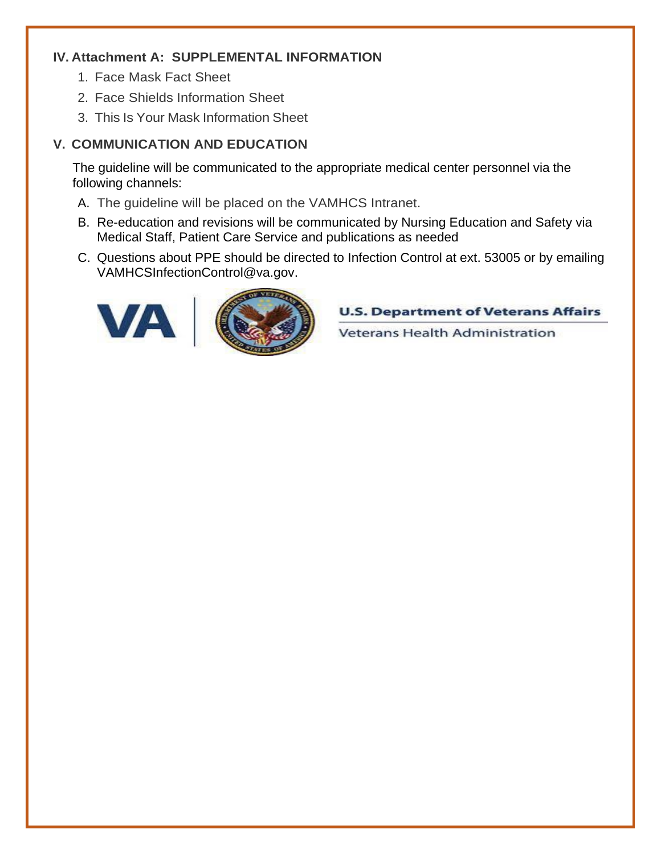#### **IV. Attachment A: SUPPLEMENTAL INFORMATION**

- 1. Face Mask Fact Sheet
- 2. Face Shields Information Sheet
- 3. This Is Your Mask Information Sheet

#### **V. COMMUNICATION AND EDUCATION**

The guideline will be communicated to the appropriate medical center personnel via the following channels:

- A. The guideline will be placed on the VAMHCS Intranet.
- B. Re-education and revisions will be communicated by Nursing Education and Safety via Medical Staff, Patient Care Service and publications as needed
- C. Questions about PPE should be directed to Infection Control at ext. 53005 or by emailing VAMHCSInfectionControl@va.gov.



**U.S. Department of Veterans Affairs** 

Veterans Health Administration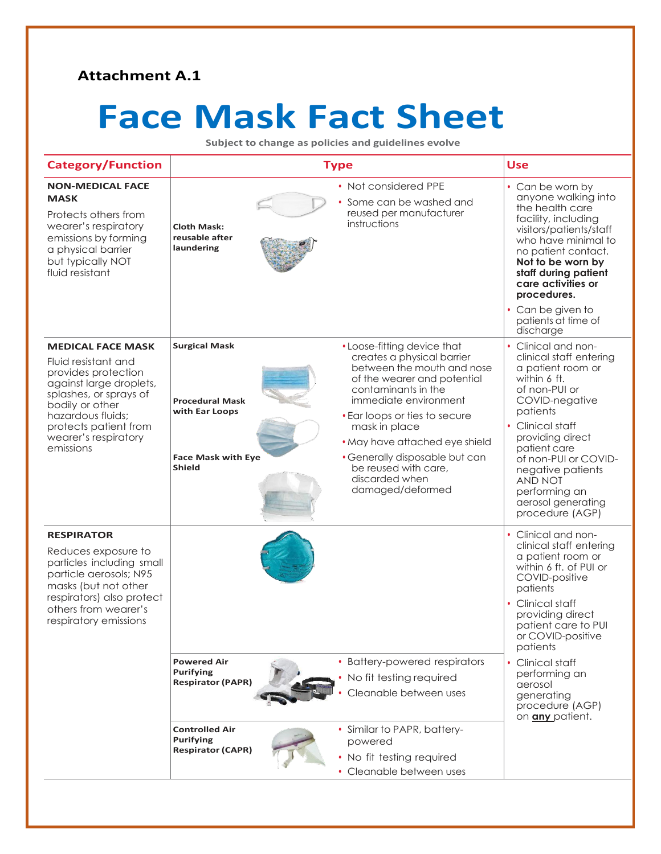#### **Attachment A.1**

# **Face Mask Fact Sheet**

**Subject to change as policies and guidelines evolve**

| <b>Category/Function</b>                                                                                                                                                                                                          | <b>Type</b>                                                                                                                                 |                                                                                                                                                                                                                                                                                                                                                            | <b>Use</b>                                                                                                                                                                                                                                                                                                                             |
|-----------------------------------------------------------------------------------------------------------------------------------------------------------------------------------------------------------------------------------|---------------------------------------------------------------------------------------------------------------------------------------------|------------------------------------------------------------------------------------------------------------------------------------------------------------------------------------------------------------------------------------------------------------------------------------------------------------------------------------------------------------|----------------------------------------------------------------------------------------------------------------------------------------------------------------------------------------------------------------------------------------------------------------------------------------------------------------------------------------|
| <b>NON-MEDICAL FACE</b><br><b>MASK</b><br>Protects others from<br>wearer's respiratory<br>emissions by forming<br>a physical barrier<br>but typically NOT<br>fluid resistant                                                      | <b>Cloth Mask:</b><br>reusable after<br>laundering                                                                                          | • Not considered PPE<br>Some can be washed and<br>reused per manufacturer<br>instructions                                                                                                                                                                                                                                                                  | • Can be worn by<br>anyone walking into<br>the health care<br>facility, including<br>visitors/patients/staff<br>who have minimal to<br>no patient contact.<br>Not to be worn by<br>staff during patient<br>care activities or<br>procedures.<br>• Can be given to<br>patients at time of<br>discharge                                  |
| <b>MEDICAL FACE MASK</b><br>Fluid resistant and<br>provides protection<br>against large droplets,<br>splashes, or sprays of<br>bodily or other<br>hazardous fluids;<br>protects patient from<br>wearer's respiratory<br>emissions | <b>Surgical Mask</b><br><b>Procedural Mask</b><br>with Ear Loops<br><b>Face Mask with Eye</b><br><b>Shield</b>                              | • Loose-fitting device that<br>creates a physical barrier<br>between the mouth and nose<br>of the wearer and potential<br>contaminants in the<br>immediate environment<br>• Ear loops or ties to secure<br>mask in place<br>• May have attached eye shield<br>• Generally disposable but can<br>be reused with care,<br>discarded when<br>damaged/deformed | • Clinical and non-<br>clinical staff entering<br>a patient room or<br>within 6 ft.<br>of non-PUI or<br>COVID-negative<br>patients<br>Clinical staff<br>providing direct<br>patient care<br>of non-PUI or COVID-<br>negative patients<br>AND NOT<br>performing an<br>aerosol generating<br>procedure (AGP)                             |
| <b>RESPIRATOR</b><br>Reduces exposure to<br>particles including small<br>particle aerosols; N95<br>masks (but not other<br>respirators) also protect<br>others from wearer's<br>respiratory emissions                             | <b>Powered Air</b><br><b>Purifying</b><br><b>Respirator (PAPR)</b><br><b>Controlled Air</b><br><b>Purifying</b><br><b>Respirator (CAPR)</b> | • Battery-powered respirators<br>No fit testing required<br>Cleanable between uses<br>• Similar to PAPR, battery-<br>powered<br>• No fit testing required<br>• Cleanable between uses                                                                                                                                                                      | • Clinical and non-<br>clinical staff entering<br>a patient room or<br>within 6 ft. of PUI or<br>COVID-positive<br>patients<br>• Clinical staff<br>providing direct<br>patient care to PUI<br>or COVID-positive<br>patients<br>• Clinical staff<br>performing an<br>aerosol<br>generating<br>procedure (AGP)<br>on <i>any</i> patient. |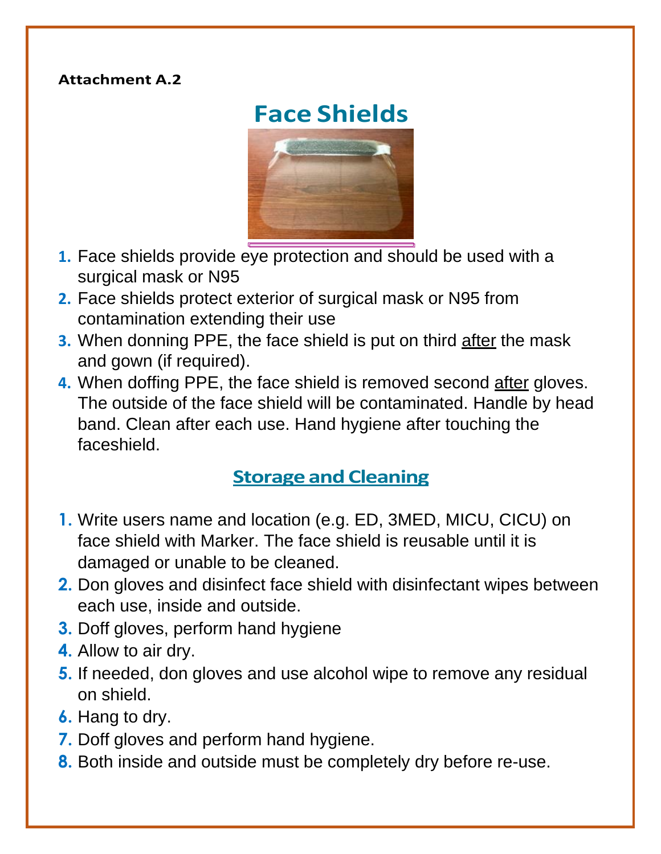#### **Attachment A.2**

# **Face Shields**



- **1.** Face shields provide eye protection and should be used with a surgical mask or N95
- **2.** Face shields protect exterior of surgical mask or N95 from contamination extending their use
- **3.** When donning PPE, the face shield is put on third after the mask and gown (if required).
- **4.** When doffing PPE, the face shield is removed second after gloves. The outside of the face shield will be contaminated. Handle by head band. Clean after each use. Hand hygiene after touching the faceshield.

# **Storage and Cleaning**

- **1.** Write users name and location (e.g. ED, 3MED, MICU, CICU) on face shield with Marker. The face shield is reusable until it is damaged or unable to be cleaned.
- **2.** Don gloves and disinfect face shield with disinfectant wipes between each use, inside and outside.
- **3.** Doff gloves, perform hand hygiene
- **4.** Allow to air dry.
- **5.** If needed, don gloves and use alcohol wipe to remove any residual on shield.
- **6.** Hang to dry.
- **7.** Doff gloves and perform hand hygiene.
- **8.** Both inside and outside must be completely dry before re-use.